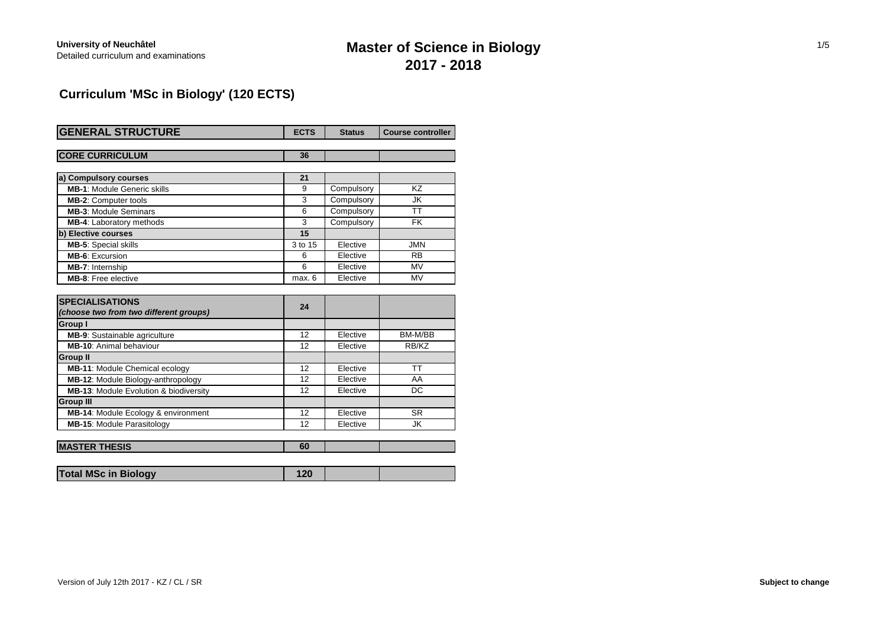# **Master of Science in Biology 2017 - 2018**

### **Curriculum 'MSc in Biology' (120 ECTS)**

| <b>GENERAL STRUCTURE</b>                          | <b>ECTS</b> | <b>Status</b> | <b>Course controller</b> |
|---------------------------------------------------|-------------|---------------|--------------------------|
|                                                   |             |               |                          |
| <b>CORE CURRICULUM</b>                            | 36          |               |                          |
|                                                   |             |               |                          |
| a) Compulsory courses                             | 21          |               |                          |
| <b>MB-1: Module Generic skills</b>                | 9           | Compulsory    | KZ                       |
| <b>MB-2: Computer tools</b>                       | 3           | Compulsory    | JK                       |
| <b>MB-3: Module Seminars</b>                      | 6           | Compulsory    | ТT                       |
| <b>MB-4:</b> Laboratory methods                   | 3           | Compulsory    | <b>FK</b>                |
| b) Elective courses                               | 15          |               |                          |
| MB-5: Special skills                              | 3 to 15     | Elective      | <b>JMN</b>               |
| <b>MB-6: Excursion</b>                            | 6           | Elective      | <b>RB</b>                |
| MB-7: Internship                                  | 6           | Elective      | <b>MV</b>                |
| <b>MB-8:</b> Free elective                        | max. 6      | Elective      | <b>MV</b>                |
|                                                   |             |               |                          |
| <b>SPECIALISATIONS</b>                            | 24          |               |                          |
| (choose two from two different groups)            |             |               |                          |
| <b>Group I</b>                                    |             |               |                          |
| <b>MB-9:</b> Sustainable agriculture              | 12          | Elective      | BM-M/BB                  |
| <b>MB-10:</b> Animal behaviour                    | 12          | Elective      | RB/KZ                    |
| <b>Group II</b>                                   |             |               |                          |
| MB-11: Module Chemical ecology                    | 12          | Elective      | <b>TT</b>                |
| MB-12: Module Biology-anthropology                | 12          | Elective      | AA                       |
| <b>MB-13: Module Evolution &amp; biodiversity</b> | 12          | Elective      | DC                       |
| <b>Group III</b>                                  |             |               |                          |
| MB-14: Module Ecology & environment               | 12          | Elective      | <b>SR</b>                |
| MB-15: Module Parasitology                        | 12          | Elective      | <b>JK</b>                |
|                                                   |             |               |                          |
| <b>MASTER THESIS</b>                              | 60          |               |                          |

|--|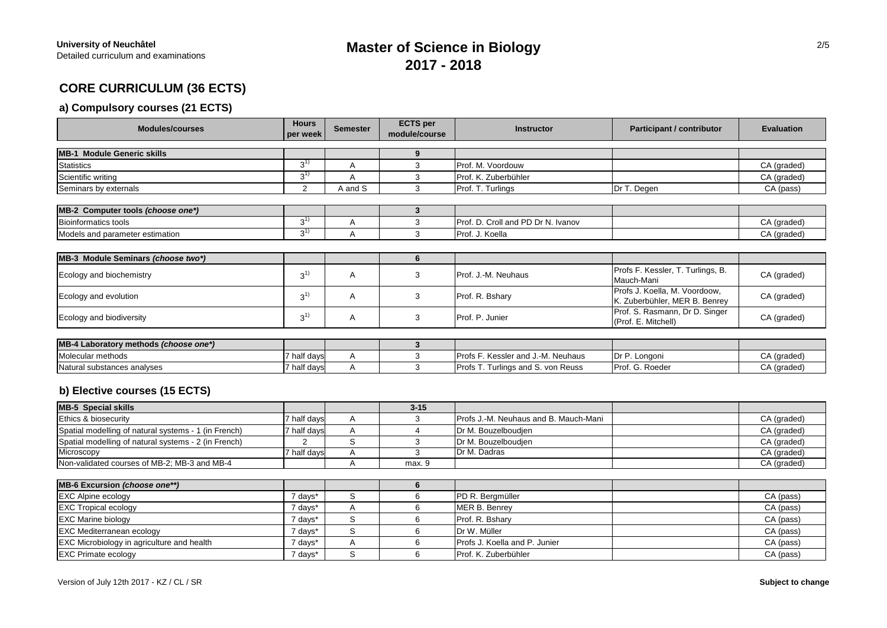## **Master of Science in Biology 2017 - 2018**

### **CORE CURRICULUM (36 ECTS)**

#### **a) Compulsory courses (21 ECTS)**

| <b>Modules/courses</b>                               | <b>Hours</b><br>per week | <b>Semester</b> | <b>ECTS</b> per<br>module/course | <b>Instructor</b>                     | <b>Participant / contributor</b>                               | <b>Evaluation</b> |
|------------------------------------------------------|--------------------------|-----------------|----------------------------------|---------------------------------------|----------------------------------------------------------------|-------------------|
| <b>MB-1 Module Generic skills</b>                    |                          |                 | 9                                |                                       |                                                                |                   |
| <b>Statistics</b>                                    | $3^{1}$                  | A               | 3                                | Prof. M. Voordouw                     |                                                                | CA (graded)       |
| Scientific writing                                   | $3^{1}$                  | A               | 3                                | Prof. K. Zuberbühler                  |                                                                | CA (graded)       |
| Seminars by externals                                | 2                        | A and S         | 3                                | Prof. T. Turlings                     | Dr T. Degen                                                    | CA (pass)         |
| MB-2 Computer tools (choose one*)                    |                          |                 | 3                                |                                       |                                                                |                   |
| <b>Bioinformatics tools</b>                          | $3^{(1)}$                | A               | 3                                | Prof. D. Croll and PD Dr N. Ivanov    |                                                                | CA (graded)       |
| Models and parameter estimation                      | $3^{1}$                  | $\overline{A}$  | 3                                | Prof. J. Koella                       |                                                                | CA (graded)       |
|                                                      |                          |                 |                                  |                                       |                                                                |                   |
| MB-3 Module Seminars (choose two*)                   |                          |                 | 6                                |                                       |                                                                |                   |
| Ecology and biochemistry                             | $3^{1}$                  | Α               | 3                                | Prof. J.-M. Neuhaus                   | Profs F. Kessler, T. Turlings, B.<br>Mauch-Mani                | CA (graded)       |
| Ecology and evolution                                | $3^{1}$                  | Α               | 3                                | Prof. R. Bshary                       | Profs J. Koella, M. Voordoow,<br>K. Zuberbühler, MER B. Benrey | CA (graded)       |
| Ecology and biodiversity                             | $3^{1}$                  | Α               | 3                                | Prof. P. Junier                       | Prof. S. Rasmann, Dr D. Singer<br>(Prof. E. Mitchell)          | CA (graded)       |
| MB-4 Laboratory methods (choose one*)                |                          |                 | 3                                |                                       |                                                                |                   |
| Molecular methods                                    | 7 half days              | Α               | 3                                | Profs F. Kessler and J.-M. Neuhaus    | Dr P. Longoni                                                  | CA (graded)       |
| Natural substances analyses                          | 7 half days              | A               | 3                                | Profs T. Turlings and S. von Reuss    | Prof. G. Roeder                                                | CA (graded)       |
| b) Elective courses (15 ECTS)                        |                          |                 |                                  |                                       |                                                                |                   |
| <b>MB-5 Special skills</b>                           |                          |                 | $3 - 15$                         |                                       |                                                                |                   |
| Ethics & biosecurity                                 | 7 half days              | Α               | 3                                | Profs J.-M. Neuhaus and B. Mauch-Mani |                                                                | CA (graded)       |
| Spatial modelling of natural systems - 1 (in French) | 7 half days              | A               | 4                                | Dr M. Bouzelboudjen                   |                                                                | CA (graded)       |
| Spatial modelling of natural systems - 2 (in French) | $\overline{2}$           | $\mathbb S$     | 3                                | Dr M. Bouzelboudjen                   |                                                                | CA (graded)       |
| Microscopy                                           | 7 half days              | Α               | 3                                | Dr M. Dadras                          |                                                                | CA (graded)       |
| Non-validated courses of MB-2; MB-3 and MB-4         |                          | A               | max. 9                           |                                       |                                                                | CA (graded)       |
| MB-6 Excursion (choose one**)                        |                          |                 | 6                                |                                       |                                                                |                   |
| <b>EXC Alpine ecology</b>                            | 7 days*                  | S               | 6                                | PD R. Bergmüller                      |                                                                | CA (pass)         |
| <b>EXC Tropical ecology</b>                          | 7 days*                  | A               | 6                                | MER B. Benrey                         |                                                                | CA (pass)         |
| <b>EXC Marine biology</b>                            | 7 days*                  | S               | 6                                | Prof. R. Bshary                       |                                                                | CA (pass)         |
| <b>EXC Mediterranean ecology</b>                     | 7 days*                  | S               | 6                                | Dr W. Müller                          |                                                                | CA (pass)         |

EXC Microbiology in agriculture and health **7 days<sup>\*</sup> A** 6 Profs J. Koella and P. Junier **CA (pass)** CA (pass) EXC Primate ecology CA (pass) 7 days\* S 6 Prof. K. Zuberbühler CA (pass) CA (pass)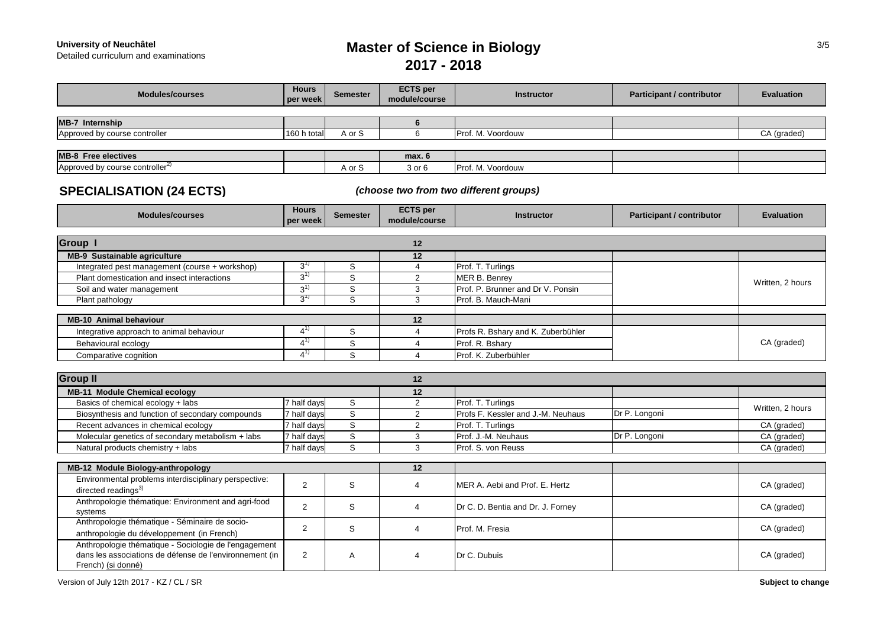**University of Neuchâtel<br>Detailed curriculum and examinations** 

# **Master of Science in Biology 2017 - 2018**

| <b>Modules/courses</b>                                                                                                                 | <b>Hours</b><br>per week | <b>Semester</b> | <b>ECTS</b> per<br>module/course | <b>Instructor</b>                      | <b>Participant / contributor</b> | <b>Evaluation</b> |
|----------------------------------------------------------------------------------------------------------------------------------------|--------------------------|-----------------|----------------------------------|----------------------------------------|----------------------------------|-------------------|
|                                                                                                                                        |                          |                 |                                  |                                        |                                  |                   |
| <b>MB-7 Internship</b>                                                                                                                 |                          |                 | 6                                |                                        |                                  |                   |
| Approved by course controller                                                                                                          | 160 h total              | A or S          | 6                                | Prof. M. Voordouw                      |                                  | CA (graded)       |
|                                                                                                                                        |                          |                 |                                  |                                        |                                  |                   |
| <b>MB-8</b> Free electives                                                                                                             |                          |                 | max. 6                           |                                        |                                  |                   |
| Approved by course controller <sup>2)</sup>                                                                                            |                          | A or S          | 3 or 6                           | Prof. M. Voordouw                      |                                  |                   |
| <b>SPECIALISATION (24 ECTS)</b>                                                                                                        |                          |                 |                                  | (choose two from two different groups) |                                  |                   |
| <b>Modules/courses</b>                                                                                                                 | <b>Hours</b><br>per week | <b>Semester</b> | <b>ECTS</b> per<br>module/course | <b>Instructor</b>                      | <b>Participant / contributor</b> | <b>Evaluation</b> |
| <b>Group I</b>                                                                                                                         |                          |                 | 12                               |                                        |                                  |                   |
| <b>MB-9 Sustainable agriculture</b>                                                                                                    |                          |                 | 12                               |                                        |                                  |                   |
| Integrated pest management (course + workshop)                                                                                         | $3^{\prime\prime}$       | S               | $\overline{4}$                   | Prof. T. Turlings                      |                                  |                   |
| Plant domestication and insect interactions                                                                                            | $3^{1}$                  | S               | $\overline{2}$                   | <b>MER B. Benrey</b>                   |                                  |                   |
| Soil and water management                                                                                                              | $3^{(1)}$                | S               | 3                                | Prof. P. Brunner and Dr V. Ponsin      |                                  | Written, 2 hours  |
| Plant pathology                                                                                                                        | $3^{\prime\prime}$       | S               | 3                                | Prof. B. Mauch-Mani                    |                                  |                   |
|                                                                                                                                        |                          |                 |                                  |                                        |                                  |                   |
| <b>MB-10</b> Animal behaviour                                                                                                          |                          |                 | 12                               |                                        |                                  |                   |
| Integrative approach to animal behaviour                                                                                               | $4^{1}$                  | S               | $\overline{4}$                   | Profs R. Bshary and K. Zuberbühler     |                                  |                   |
| Behavioural ecology                                                                                                                    | $4^{1}$                  | S               | $\overline{4}$                   | Prof. R. Bshary                        |                                  | CA (graded)       |
| Comparative cognition                                                                                                                  | $4^{1}$                  | S               | $\overline{4}$                   | Prof. K. Zuberbühler                   |                                  |                   |
|                                                                                                                                        |                          |                 |                                  |                                        |                                  |                   |
| <b>Group II</b>                                                                                                                        |                          |                 | 12                               |                                        |                                  |                   |
| MB-11 Module Chemical ecology                                                                                                          |                          |                 | 12                               |                                        |                                  |                   |
| Basics of chemical ecology + labs                                                                                                      | 7 half days              | S               | $\overline{2}$                   | Prof. T. Turlings                      |                                  | Written, 2 hours  |
| Biosynthesis and function of secondary compounds                                                                                       | 7 half days              | S               | $\overline{2}$                   | Profs F. Kessler and J.-M. Neuhaus     | Dr P. Longoni                    |                   |
| Recent advances in chemical ecology                                                                                                    | $\overline{7}$ half days | $\overline{s}$  | $\overline{2}$                   | Prof. T. Turlings                      |                                  | CA (graded)       |
| Molecular genetics of secondary metabolism + labs                                                                                      | 7 half days              | $\mathbb S$     | 3                                | Prof. J.-M. Neuhaus                    | Dr P. Longoni                    | CA (graded)       |
| Natural products chemistry + labs                                                                                                      | 7 half days              | $\mathbb S$     | 3                                | Prof. S. von Reuss                     |                                  | CA (graded)       |
|                                                                                                                                        |                          |                 |                                  |                                        |                                  |                   |
| MB-12 Module Biology-anthropology                                                                                                      |                          |                 | 12                               |                                        |                                  |                   |
| Environmental problems interdisciplinary perspective:<br>directed readings <sup>3)</sup>                                               | $\overline{2}$           | S               | $\overline{4}$                   | MER A. Aebi and Prof. E. Hertz         |                                  | CA (graded)       |
| Anthropologie thématique: Environment and agri-food<br>systems                                                                         | 2                        | S               | $\overline{4}$                   | Dr C. D. Bentia and Dr. J. Forney      |                                  | CA (graded)       |
| Anthropologie thématique - Séminaire de socio-<br>anthropologie du développement (in French)                                           | $\overline{2}$           | S               | 4                                | Prof. M. Fresia                        |                                  | CA (graded)       |
| Anthropologie thématique - Sociologie de l'engagement<br>dans les associations de défense de l'environnement (in<br>French) (si donné) | $\overline{2}$           | Α               | 4                                | Dr C. Dubuis                           |                                  | CA (graded)       |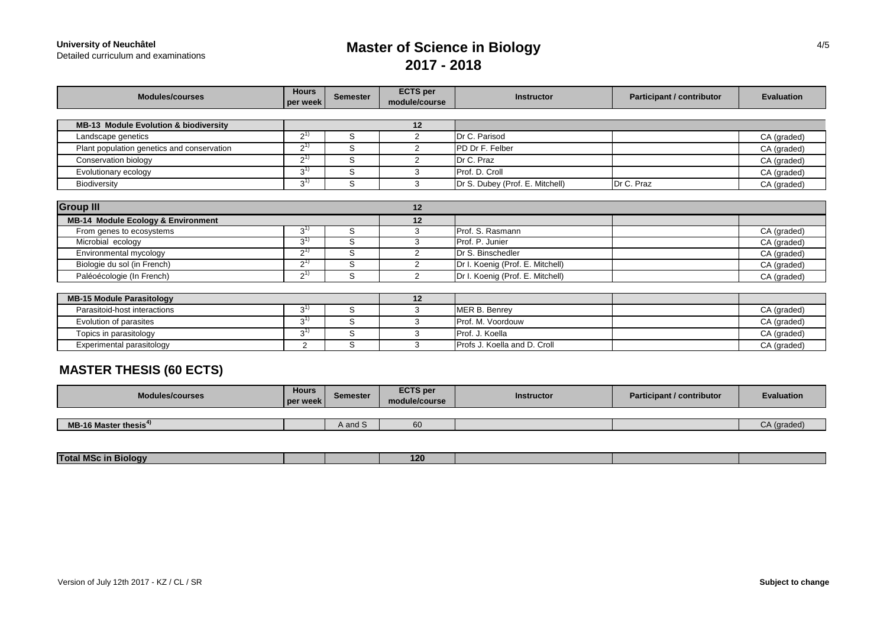**University of Neuchâtel<br>Detailed curriculum and examinations** 

# **Master of Science in Biology 2017 - 2018**

| <b>Modules/courses</b>                           | <b>Hours</b><br>per week | <b>Semester</b> | <b>ECTS</b> per<br>module/course | <b>Instructor</b>                | <b>Participant / contributor</b> | <b>Evaluation</b> |  |  |  |  |
|--------------------------------------------------|--------------------------|-----------------|----------------------------------|----------------------------------|----------------------------------|-------------------|--|--|--|--|
|                                                  |                          |                 |                                  |                                  |                                  |                   |  |  |  |  |
| <b>MB-13 Module Evolution &amp; biodiversity</b> |                          |                 | $12 \,$                          |                                  |                                  |                   |  |  |  |  |
| Landscape genetics                               | $2^{1}$                  | S               | 2                                | Dr C. Parisod                    |                                  | CA (graded)       |  |  |  |  |
| Plant population genetics and conservation       | $2^{1}$                  | S               | 2                                | PD Dr F. Felber                  |                                  | CA (graded)       |  |  |  |  |
| Conservation biology                             | $2^{1}$                  | S               | 2                                | Dr C. Praz                       |                                  | CA (graded)       |  |  |  |  |
| Evolutionary ecology                             | $3^{(1)}$                | S               | 3                                | Prof. D. Croll                   |                                  | CA (graded)       |  |  |  |  |
| Biodiversity                                     | $3^{1}$                  | S               | 3                                | Dr S. Dubey (Prof. E. Mitchell)  | Dr C. Praz                       | CA (graded)       |  |  |  |  |
|                                                  |                          |                 |                                  |                                  |                                  |                   |  |  |  |  |
| <b>Group III</b>                                 |                          |                 | 12                               |                                  |                                  |                   |  |  |  |  |
| <b>MB-14 Module Ecology &amp; Environment</b>    |                          |                 | 12                               |                                  |                                  |                   |  |  |  |  |
| From genes to ecosystems                         | $3^{11}$                 | S               | 3                                | Prof. S. Rasmann                 |                                  | CA (graded)       |  |  |  |  |
| Microbial ecology                                | $3^{1}$                  | S               | 3                                | Prof. P. Junier                  |                                  | CA (graded)       |  |  |  |  |
| Environmental mycology                           | $2^{1}$                  | S               | 2                                | Dr S. Binschedler                |                                  | CA (graded)       |  |  |  |  |
| Biologie du sol (in French)                      | $2^{1}$                  | S               | 2                                | Dr I. Koenig (Prof. E. Mitchell) |                                  | CA (graded)       |  |  |  |  |
| Paléoécologie (In French)                        | $2^{1}$                  | S               | 2                                | Dr I. Koenig (Prof. E. Mitchell) |                                  | CA (graded)       |  |  |  |  |
|                                                  |                          |                 |                                  |                                  |                                  |                   |  |  |  |  |
| <b>MB-15 Module Parasitology</b>                 |                          |                 | 12                               |                                  |                                  |                   |  |  |  |  |
| Parasitoid-host interactions                     | $3^{1}$                  | S               | 3                                | MER B. Benrey                    |                                  | CA (graded)       |  |  |  |  |
| Evolution of parasites                           | $3^{(1)}$                | S               | 3                                | Prof. M. Voordouw                |                                  | CA (graded)       |  |  |  |  |
| Topics in parasitology                           | $3^{1}$                  | S               | 3                                | Prof. J. Koella                  |                                  | CA (graded)       |  |  |  |  |
| Experimental parasitology                        | $\overline{2}$           | S               | 3                                | Profs J. Koella and D. Croll     |                                  | CA (graded)       |  |  |  |  |

### **MASTER THESIS (60 ECTS)**

| <b>Modules/courses</b>            | <b>Hours</b><br>week<br>  pe | <b>Semester</b> | <b>ECTS</b> per<br>module/course | <b>Instructor</b> | Participant / contributor | <b>Evaluation</b> |
|-----------------------------------|------------------------------|-----------------|----------------------------------|-------------------|---------------------------|-------------------|
|                                   |                              |                 |                                  |                   |                           |                   |
| MB-16 Master thesis <sup>4)</sup> |                              | A and S         |                                  |                   |                           | CA (graded)       |

| <b>Contract Contract Contract</b><br><b>Total MSC</b><br>. BIOIOQV<br>. |  | 120 |  |  |
|-------------------------------------------------------------------------|--|-----|--|--|
|                                                                         |  |     |  |  |